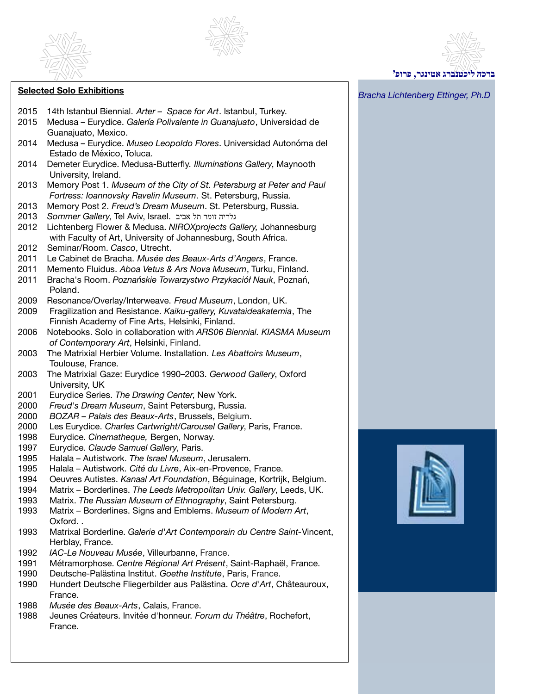



- 2015 14th Istanbul Biennial. *Arter Space for Art*. Istanbul, Turkey.
- 2015 Medusa Eurydice. *Galería Polivalente in Guanajuato*, Universidad de Guanajuato, Mexico.
- 2014 Medusa Eurydice. *Museo Leopoldo Flores*. Universidad Autonóma del Estado de México, Toluca.
- 2014 Demeter Eurydice. Medusa-Butterfly. *Illuminations Gallery*, Maynooth University, Ireland.
- 2013 Memory Post 1. *Museum of the City of St. Petersburg at Peter and Paul Fortress: Ioannovsky Ravelin Museum*. St. Petersburg, Russia.
- 2013 Memory Post 2. *Freud's Dream Museum*. St. Petersburg, Russia.
- 2013 *Sommer Gallery*, Tel Aviv, Israel. אביב תל זומר גלריה
- 2012 Lichtenberg Flower & Medusa. *NIROXprojects Gallery,* Johannesburg with Faculty of Art, University of Johannesburg, South Africa.
- 2012 Seminar/Room. *Casco*, Utrecht.
- 2011 Le Cabinet de Bracha. *Musée des Beaux-Arts d'Angers*, France.
- 2011 Memento Fluidus. *Aboa Vetus & Ars Nova Museum*, Turku, Finland.
- 2011 Bracha's Room. *Poznańskie Towarzystwo Przykaciół Nauk*, Poznań, Poland.
- 2009 Resonance/Overlay/Interweave. *Freud Museum*, London, UK.
- 2009 Fragilization and Resistance. *Kaiku-gallery, Kuvataideakatemia*, The Finnish Academy of Fine Arts, Helsinki, Finland.
- 2006 Notebooks. Solo in collaboration with *ARS06 Biennial. KIASMA Museum of Contemporary Art*, Helsinki, Finland.
- 2003 The Matrixial Herbier Volume. Installation. *Les Abattoirs Museum*, Toulouse, France.
- 2003 The Matrixial Gaze: Eurydice 1990–2003. *Gerwood Gallery*, Oxford University, UK
- 2001 Eurydice Series. *The Drawing Center*, New York.
- 2000 *Freud's Dream Museum*, Saint Petersburg, Russia.
- 2000 *BOZAR Palais des Beaux-Arts*, Brussels, Belgium.
- 2000 Les Eurydice. *Charles Cartwright/Carousel Gallery*, Paris, France.
- 1998 Eurydice. *Cinematheque,* Bergen, Norway.
- 1997 Eurydice. *Claude Samuel Gallery*, Paris.
- 1995 Halala Autistwork. *The Israel Museum*, Jerusalem.
- 1995 Halala Autistwork. *Cité du Livre*, Aix-en-Provence, France.
- 1994 Oeuvres Autistes. *Kanaal Art Foundation*, Béguinage, Kortrijk, Belgium.
- 1994 Matrix Borderlines. *The Leeds Metropolitan Univ. Gallery*, Leeds, UK.
- 1993 Matrix. *The Russian Museum of Ethnography*, Saint Petersburg.
- 1993 Matrix Borderlines. Signs and Emblems. *Museum of Modern Art*, Oxford. .
- 1993 Matrixal Borderline. *Galerie d'Art Contemporain du Centre Saint-*Vincent, Herblay, France.
- 1992 *IAC-Le Nouveau Musée*, Villeurbanne, France.
- 1991 Métramorphose. *Centre Régional Art Présent*, Saint-Raphaël, France.
- 1990 Deutsche-Palästina Institut. *Goethe Institute*, Paris, France.
- 1990 Hundert Deutsche Fliegerbilder aus Palästina. *Ocre d'Art*, Châteauroux, France.
- 1988 *Musée des Beaux-Arts*, Calais, France.
- 1988 Jeunes Créateurs. Invitée d'honneur. *Forum du Théâtre*, Rochefort, France.





# **Selected Solo Exhibitions Bracha Lichtenberg Ettinger, Ph.D** Selected Solo Exhibitions **Selected Solo Exhibitions**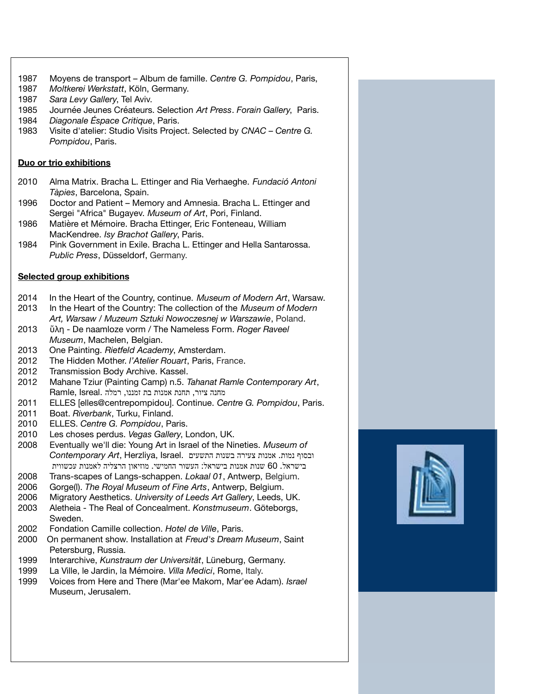- 1987 Moyens de transport Album de famille. *Centre G. Pompidou*, Paris,
- 1987 *Moltkerei Werkstatt*, Köln, Germany.
- 1987 *Sara Levy Gallery*, Tel Aviv.
- 1985 Journée Jeunes Créateurs. Selection *Art Press*. *Forain Gallery*, Paris.
- 1984 *Diagonale Éspace Critique*, Paris.
- 1983 Visite d'atelier: Studio Visits Project. Selected by *CNAC Centre G. Pompidou*, Paris.

## **Duo or trio exhibitions**

- 2010 Alma Matrix. Bracha L. Ettinger and Ria Verhaeghe. *Fundació Antoni Tàpies*, Barcelona, Spain.
- 1996 Doctor and Patient Memory and Amnesia. Bracha L. Ettinger and Sergei "Africa" Bugayev. *Museum of Art*, Pori, Finland.
- 1986 Matière et Mémoire. Bracha Ettinger, Eric Fonteneau, William MacKendree. *Isy Brachot Gallery*, Paris.
- 1984 Pink Government in Exile. Bracha L. Ettinger and Hella Santarossa. *Public Press*, Düsseldorf, Germany.

# **Selected group exhibitions**

- 2014 In the Heart of the Country, continue. *Museum of Modern Art*, Warsaw.
- 2013 In the Heart of the Country: The collection of the *Museum of Modern Art, Warsaw* / *Muzeum Sztuki Nowoczesnej w Warszawie*, Poland.
- 2013 ὕλη De naamloze vorm / The Nameless Form. *Roger Raveel Museum*, Machelen, Belgian.
- 2013 One Painting. *Rietfeld Academy*, Amsterdam.
- 2012 The Hidden Mother. *l'Atelier Rouart*, Paris, France.
- 2012 Transmission Body Archive. Kassel.
- 2012 Mahane Tziur (Painting Camp) n.5. *Tahanat Ramle Contemporary Art*, , , מחנה ציור תחנת אמנות בת זמננו רמלה .Isreal ,Ramle
- 2011 ELLES [elles@centrepompidou]. Continue. *Centre G. Pompidou*, Paris.
- 2011 Boat. *Riverbank*, Turku, Finland.
- 2010 ELLES. *Centre G. Pompidou*, Paris.
- 2010 Les choses perdus. *Vegas Gallery*, London, UK.
- 2008 Eventually we'll die: Young Art in Israel of the Nineties. *Museum of* . ובסוף נמות אמנות צעירה בשנות התשעים .Israel ,Herzliya ,*Art Contemporary* בישראל. 60 שנות אמנות בישראל: העשור החמישי. מוזיאון הרצליה לאמנות עכשווית
- 2008 Trans-scapes of Langs-schappen. *Lokaal 01*, Antwerp, Belgium.
- 2006 Gorge(l). *The Royal Museum of Fine Arts*, Antwerp, Belgium.
- 2006 Migratory Aesthetics. *University of Leeds Art Gallery*, Leeds, UK.
- 2003 Aletheia The Real of Concealment. *Konstmuseum*. Göteborgs, Sweden.
- 2002 Fondation Camille collection. *Hotel de Ville*, Paris.
- 2000 On permanent show. Installation at *Freud's Dream Museum*, Saint Petersburg, Russia.
- 1999 Interarchive, *Kunstraum der Universität*, Lüneburg, Germany.
- 1999 La Ville, le Jardin, la Mémoire. *Villa Medici*, Rome, Italy.
- 1999 Voices from Here and There (Mar'ee Makom, Mar'ee Adam). *Israel* Museum, Jerusalem.

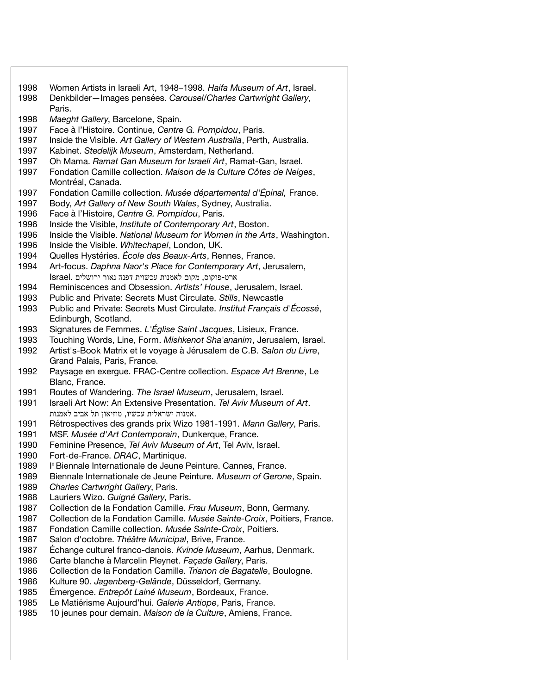| 1998 | Women Artists in Israeli Art, 1948–1998. Haifa Museum of Art, Israel.     |
|------|---------------------------------------------------------------------------|
| 1998 | Denkbilder-Images pensées. Carousel/Charles Cartwright Gallery,           |
|      | Paris.                                                                    |
|      |                                                                           |
| 1998 | Maeght Gallery, Barcelone, Spain.                                         |
| 1997 | Face à l'Histoire. Continue, Centre G. Pompidou, Paris.                   |
| 1997 | Inside the Visible. Art Gallery of Western Australia, Perth, Australia.   |
| 1997 | Kabinet. Stedelijk Museum, Amsterdam, Netherland.                         |
| 1997 | Oh Mama. Ramat Gan Museum for Israeli Art, Ramat-Gan, Israel.             |
| 1997 | Fondation Camille collection. Maison de la Culture Côtes de Neiges,       |
|      | Montréal, Canada.                                                         |
| 1997 | Fondation Camille collection. Musée départemental d'Épinal, France.       |
|      |                                                                           |
| 1997 | Body, Art Gallery of New South Wales, Sydney, Australia.                  |
| 1996 | Face à l'Histoire, Centre G. Pompidou, Paris.                             |
| 1996 | Inside the Visible, Institute of Contemporary Art, Boston.                |
| 1996 | Inside the Visible. National Museum for Women in the Arts, Washington.    |
| 1996 | Inside the Visible. Whitechapel, London, UK.                              |
| 1994 | Quelles Hystéries. École des Beaux-Arts, Rennes, France.                  |
| 1994 | Art-focus. Daphna Naor's Place for Contemporary Art, Jerusalem,           |
|      | ארט-פוקוס, מקום לאמנות עכשוית דפנה נאור ירושלים .Israel                   |
| 1994 | Reminiscences and Obsession. Artists' House, Jerusalem, Israel.           |
| 1993 | Public and Private: Secrets Must Circulate. Stills, Newcastle             |
| 1993 | Public and Private: Secrets Must Circulate. Institut Français d'Écossé,   |
|      |                                                                           |
|      | Edinburgh, Scotland.                                                      |
| 1993 | Signatures de Femmes. L'Église Saint Jacques, Lisieux, France.            |
| 1993 | Touching Words, Line, Form. Mishkenot Sha'ananim, Jerusalem, Israel.      |
| 1992 | Artist's-Book Matrix et le voyage à Jérusalem de C.B. Salon du Livre,     |
|      | Grand Palais, Paris, France.                                              |
| 1992 | Paysage en exergue. FRAC-Centre collection. Espace Art Brenne, Le         |
|      | Blanc, France.                                                            |
| 1991 | Routes of Wandering. The Israel Museum, Jerusalem, Israel.                |
| 1991 | Israeli Art Now: An Extensive Presentation. Tel Aviv Museum of Art.       |
|      | .אמנות ישראלית עכשיו, מוזיאון תל אביב לאמנות                              |
| 1991 | Rétrospectives des grands prix Wizo 1981-1991. Mann Gallery, Paris.       |
|      |                                                                           |
| 1991 | MSF. Musée d'Art Contemporain, Dunkerque, France.                         |
| 1990 | Feminine Presence, Tel Aviv Museum of Art, Tel Aviv, Israel.              |
| 1990 | Fort-de-France. DRAC, Martinique.                                         |
| 1989 | l <sup>e</sup> Biennale Internationale de Jeune Peinture. Cannes, France  |
| 1989 | Biennale Internationale de Jeune Peinture. Museum of Gerone, Spain.       |
| 1989 | Charles Cartwright Gallery, Paris.                                        |
| 1988 | Lauriers Wizo. Guigné Gallery, Paris.                                     |
| 1987 | Collection de la Fondation Camille. Frau Museum, Bonn, Germany.           |
| 1987 | Collection de la Fondation Camille. Musée Sainte-Croix, Poitiers, France. |
| 1987 | Fondation Camille collection. Musée Sainte-Croix, Poitiers.               |
| 1987 | Salon d'octobre. Théâtre Municipal, Brive, France.                        |
|      |                                                                           |
| 1987 | Échange culturel franco-danois. Kvinde Museum, Aarhus, Denmark.           |
| 1986 | Carte blanche à Marcelin Pleynet. Façade Gallery, Paris.                  |
| 1986 | Collection de la Fondation Camille. Trianon de Bagatelle, Boulogne.       |
| 1986 | Kulture 90. Jagenberg-Gelände, Düsseldorf, Germany.                       |
| 1985 | Émergence. Entrepôt Lainé Museum, Bordeaux, France.                       |
| 1985 | Le Matiérisme Aujourd'hui. Galerie Antiope, Paris, France.                |
| 1985 | 10 jeunes pour demain. Maison de la Culture, Amiens, France.              |
|      |                                                                           |
|      |                                                                           |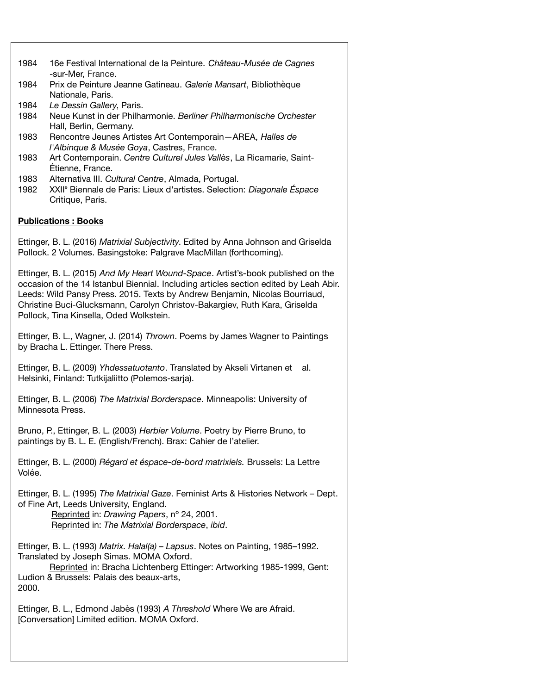| 1984                                                                                                                                                                                                                                                                                                                                                                             | 16e Festival International de la Peinture. Château-Musée de Cagnes<br>-sur-Mer, France.                                                                                                                                                            |  |
|----------------------------------------------------------------------------------------------------------------------------------------------------------------------------------------------------------------------------------------------------------------------------------------------------------------------------------------------------------------------------------|----------------------------------------------------------------------------------------------------------------------------------------------------------------------------------------------------------------------------------------------------|--|
| 1984                                                                                                                                                                                                                                                                                                                                                                             | Prix de Peinture Jeanne Gatineau. Galerie Mansart, Bibliothèque<br>Nationale, Paris.                                                                                                                                                               |  |
| 1984<br>1984                                                                                                                                                                                                                                                                                                                                                                     | Le Dessin Gallery, Paris.<br>Neue Kunst in der Philharmonie. Berliner Philharmonische Orchester<br>Hall, Berlin, Germany.                                                                                                                          |  |
| 1983                                                                                                                                                                                                                                                                                                                                                                             | Rencontre Jeunes Artistes Art Contemporain-AREA, Halles de                                                                                                                                                                                         |  |
| 1983                                                                                                                                                                                                                                                                                                                                                                             | l'Albinque & Musée Goya, Castres, France.<br>Art Contemporain. Centre Culturel Jules Vallès, La Ricamarie, Saint-<br>Étienne, France.                                                                                                              |  |
| 1983<br>1982                                                                                                                                                                                                                                                                                                                                                                     | Alternativa III. Cultural Centre, Almada, Portugal.<br>XXII <sup>e</sup> Biennale de Paris: Lieux d'artistes. Selection: Diagonale Éspace<br>Critique, Paris.                                                                                      |  |
|                                                                                                                                                                                                                                                                                                                                                                                  | <b>Publications: Books</b>                                                                                                                                                                                                                         |  |
|                                                                                                                                                                                                                                                                                                                                                                                  | Ettinger, B. L. (2016) Matrixial Subjectivity. Edited by Anna Johnson and Griselda<br>Pollock. 2 Volumes. Basingstoke: Palgrave MacMillan (forthcoming).                                                                                           |  |
| Ettinger, B. L. (2015) And My Heart Wound-Space. Artist's-book published on the<br>occasion of the 14 Istanbul Biennial. Including articles section edited by Leah Abir.<br>Leeds: Wild Pansy Press. 2015. Texts by Andrew Benjamin, Nicolas Bourriaud,<br>Christine Buci-Glucksmann, Carolyn Christov-Bakargiev, Ruth Kara, Griselda<br>Pollock, Tina Kinsella, Oded Wolkstein. |                                                                                                                                                                                                                                                    |  |
| Ettinger, B. L., Wagner, J. (2014) Thrown. Poems by James Wagner to Paintings<br>by Bracha L. Ettinger. There Press.                                                                                                                                                                                                                                                             |                                                                                                                                                                                                                                                    |  |
| Ettinger, B. L. (2009) Yhdessatuotanto. Translated by Akseli Virtanen et<br>al.<br>Helsinki, Finland: Tutkijaliitto (Polemos-sarja).                                                                                                                                                                                                                                             |                                                                                                                                                                                                                                                    |  |
| Ettinger, B. L. (2006) The Matrixial Borderspace. Minneapolis: University of<br>Minnesota Press.                                                                                                                                                                                                                                                                                 |                                                                                                                                                                                                                                                    |  |
| Bruno, P., Ettinger, B. L. (2003) Herbier Volume. Poetry by Pierre Bruno, to<br>paintings by B. L. E. (English/French). Brax: Cahier de l'atelier.                                                                                                                                                                                                                               |                                                                                                                                                                                                                                                    |  |
| Ettinger, B. L. (2000) Régard et éspace-de-bord matrixiels. Brussels: La Lettre<br>Volée.                                                                                                                                                                                                                                                                                        |                                                                                                                                                                                                                                                    |  |
|                                                                                                                                                                                                                                                                                                                                                                                  | Ettinger, B. L. (1995) The Matrixial Gaze. Feminist Arts & Histories Network – Dept.<br>of Fine Art, Leeds University, England.<br>Reprinted in: Drawing Papers, nº 24, 2001.<br>Reprinted in: The Matrixial Borderspace, ibid.                    |  |
| 2000.                                                                                                                                                                                                                                                                                                                                                                            | Ettinger, B. L. (1993) Matrix. Halal(a) - Lapsus. Notes on Painting, 1985-1992.<br>Translated by Joseph Simas. MOMA Oxford.<br>Reprinted in: Bracha Lichtenberg Ettinger: Artworking 1985-1999, Gent:<br>Ludion & Brussels: Palais des beaux-arts, |  |
|                                                                                                                                                                                                                                                                                                                                                                                  | Ettinger, B. L., Edmond Jabès (1993) A Threshold Where We are Afraid.<br>[Conversation] Limited edition. MOMA Oxford.                                                                                                                              |  |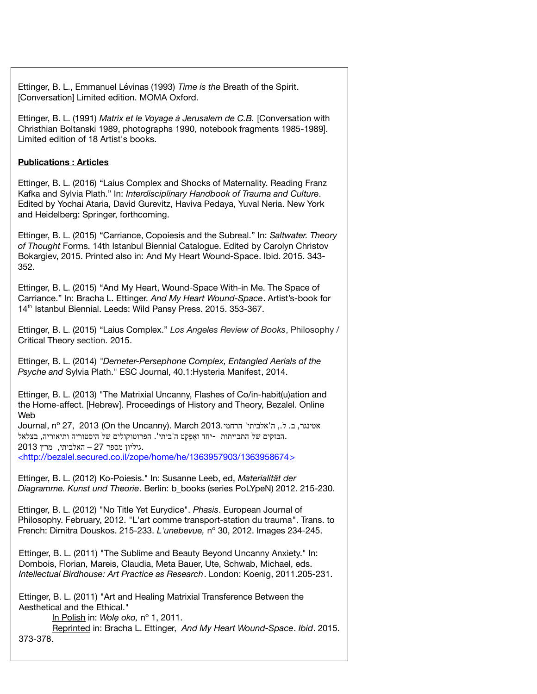Ettinger, B. L., Emmanuel Lévinas (1993) *Time is the* Breath of the Spirit. [Conversation] Limited edition. MOMA Oxford.

Ettinger, B. L. (1991) *Matrix et le Voyage à Jerusalem de C.B.* [Conversation with Christhian Boltanski 1989, photographs 1990, notebook fragments 1985-1989]. Limited edition of 18 Artist's books.

### **Publications : Articles**

Ettinger, B. L. (2016) "Laius Complex and Shocks of Maternality. Reading Franz Kafka and Sylvia Plath." In: *Interdisciplinary Handbook of Trauma and Culture*. Edited by Yochai Ataria, David Gurevitz, Haviva Pedaya, Yuval Neria. New York and Heidelberg: Springer, forthcoming.

Ettinger, B. L. (2015) "Carriance, Copoiesis and the Subreal." In: *Saltwater. Theory of Thought* Forms. 14th Istanbul Biennial Catalogue. Edited by Carolyn Christov Bokargiev, 2015. Printed also in: And My Heart Wound-Space. Ibid. 2015. 343- 352.

Ettinger, B. L. (2015) "And My Heart, Wound-Space With-in Me. The Space of Carriance." In: Bracha L. Ettinger. *And My Heart Wound-Space*. Artist's-book for 14<sup>th</sup> Istanbul Biennial. Leeds: Wild Pansy Press. 2015. 353-367.

Ettinger, B. L. (2015) "Laius Complex." *Los Angeles Review of Books*, Philosophy / Critical Theory section. 2015.

Ettinger, B. L. (2014) *"Demeter-Persephone Complex, Entangled Aerials of the Psyche and* Sylvia Plath." ESC Journal, 40.1:Hysteria Manifest, 2014.

Ettinger, B. L. (2013) "The Matrixial Uncanny, Flashes of Co/in-habit(u)ation and the Home-affect. [Hebrew]. Proceedings of History and Theory, Bezalel. Online Web

Journal, nº 27, 2013 (On the Uncanny). March 2013. ה' אלביתי' הרחמי .הבזקים של התבייתות -יחד ואַפֵּקְט ה'ביתי'. הפרוטוקולים של היסטוריה ותיאוריה, בצלאל .גיליון מספר 27 – האלביתי, מרץ 2013  [< http://bezalel.secured.co.il/zope/home/he/1363957903/1363958674 >](http://bezalel.secured.co.il/zope/home/he/1363957903/1363958674)

Ettinger, B. L. (2012) Ko-Poiesis." In: Susanne Leeb, ed, *Materialität der Diagramme. Kunst und Theorie*. Berlin: b\_books (series PoLYpeN) 2012. 215-230.

Ettinger, B. L. (2012) "No Title Yet Eurydice". *Phasis*. European Journal of Philosophy. February, 2012. "L'art comme transport-station du trauma". Trans. to French: Dimitra Douskos. 215-233. *L'unebevue,* nº 30, 2012. Images 234-245.

Ettinger, B. L. (2011) "The Sublime and Beauty Beyond Uncanny Anxiety." In: Dombois, Florian, Mareis, Claudia, Meta Bauer, Ute, Schwab, Michael, eds. *Intellectual Birdhouse: Art Practice as Research*. London: Koenig, 2011.205-231.

Ettinger, B. L. (2011) "Art and Healing Matrixial Transference Between the Aesthetical and the Ethical."

I n Polish in: *Wolę oko,* nº 1, 2011.

Reprinted in: Bracha L. Ettinger, *And My Heart Wound-Space*. *Ibid*. 2015. 373-378.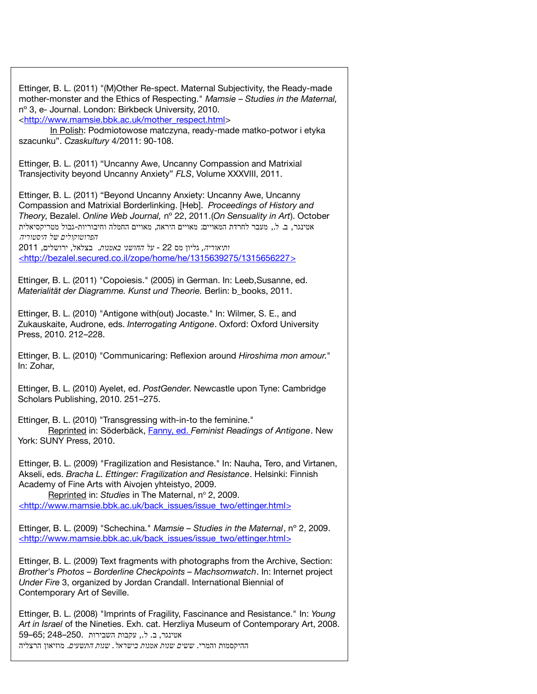Ettinger, B. L. (2011) "(M)Other Re-spect. Maternal Subjectivity, the Ready-made mother-monster and the Ethics of Respecting." *Mamsie* – *Studies in the Maternal,* nº 3, e- Journal. London: Birkbeck University, 2010. [<http://www.mamsie.bbk.ac.uk/mother\\_respect.html>](http://www.mamsie.bbk.ac.uk/mother_respect.html) In Polish: Podmiotowose matczyna, ready-made matko-potwor i etyka szacunku". *Czaskultury* 4/2011: 90-108. Ettinger, B. L. (2011) "Uncanny Awe, Uncanny Compassion and Matrixial Transjectivity beyond Uncanny Anxiety" *FLS*, Volume XXXVIII, 2011. Ettinger, B. L. (2011) "Beyond Uncanny Anxiety: Uncanny Awe, Uncanny Compassion and Matrixial Borderlinking. [Heb]. *Proceedings of History and Theory*, Bezalel. *Online Web Journal,* nº 22, 2011.(*On Sensuality in Art*). October אטינגר, ב. ל., מעבר לחרדת המאויים: מאויים היראה, מאויים החמלה וחיבוריות-גבול מטריקסיאלית  *הפרוטוקולים של היסטוריה ותיאוריה,* גליון מס 22 - *על החושני באמנות*. בצלאל ירושלים , , 2011 [< http://bezalel.secured.co.il/zope/home/he/1315639275/1315656227 >](http://bezalel.secured.co.il/zope/home/he/1315639275/1315656227) Ettinger, B. L. (2011) "Copoiesis." (2005) in German. In: Leeb,Susanne, ed. *Materialität der Diagramme. Kunst und Theorie.* Berlin: b\_books, 2011. Ettinger, B. L. (2010) "Antigone with(out) Jocaste." In: Wilmer, S. E., and Zukauskaite, Audrone, eds. *Interrogating Antigone*. Oxford: Oxford University Press, 2010. 212–228. Ettinger, B. L. (2010) "Communicaring: Reflexion around *Hiroshima mon amour*." In: Zohar, Ettinger, B. L. (2010) Ayelet, ed. *PostGender*. Newcastle upon Tyne: Cambridge Scholars Publishing, 2010. 251–275. Ettinger, B. L. (2010) "Transgressing with-in-to the feminine." Reprinted in: Söderbäck, Fanny, ed. *Feminist Readings of Antigone*. New York: SUNY Press, 2010. Ettinger, B. L. (2009) "Fragilization and Resistance." In: Nauha, Tero, and Virtanen, Akseli, eds. *Bracha L. Ettinger: Fragilization and Resistance*. Helsinki: Finnish Academy of Fine Arts with Aivojen yhteistyo, 2009. Reprinted in: Studies in The Maternal, nº 2, 2009. < http://www.mamsie.bbk.ac.uk/back\_issues/issue\_two/ettinger.html> Ettinger, B. L. (2009) "Schechina." *Mamsie – Studies in the Maternal*, nº 2, 2009. < http://www.mamsie.bbk.ac.uk/back\_issues/issue\_two/ettinger.html> Ettinger, B. L. (2009) Text fragments with photographs from the Archive, Section: *Brother's Photos – Borderline Checkpoints – Machsomwatch*. In: Internet project *Under Fire* 3, organized by Jordan Crandall. International Biennial of Contemporary Art of Seville. Ettinger, B. L. (2008) "Imprints of Fragility, Fascinance and Resistance." In: *Young*

*Art in Israel* of the Nineties. Exh. cat. Herzliya Museum of Contemporary Art, 2008. , . ,. אטינגר ב ל עקבות השבירות 250.–248 ;65–59 ההיקסמות והמרי. *. ששים שנות אמנות בישראל שנות התשעים*. מוזיאון הרצליה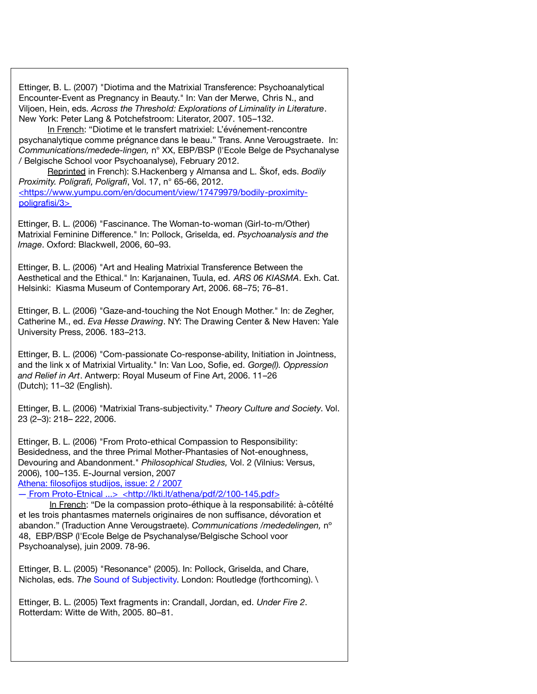Ettinger, B. L. (2007) "Diotima and the Matrixial Transference: Psychoanalytical Encounter-Event as Pregnancy in Beauty." In: Van der Merwe, Chris N., and Viljoen, Hein, eds. *Across the Threshold: Explorations of Liminality in Literature*. New York: Peter Lang & Potchefstroom: Literator, 2007. 105–132.

In French: "Diotime et le transfert matrixiel: L'événement-rencontre psychanalytique comme prégnance dans le beau." Trans. Anne Verougstraete. In: *Communications/medede-lingen,* n° XX, EBP/BSP (l'Ecole Belge de Psychanalyse / Belgische School voor Psychoanalyse), February 2012.

Reprinted in French): S.Hackenberg y Almansa and L. Škof, eds. *Bodily Proximity. Poligrafi, Poligrafi*, Vol. 17, n° 65-66, 2012. [< https://www.yumpu.com/en/document/view/17479979/bodily -](https://www.yumpu.com/en/document/view/17479979/bodily)proximitypoligrafisi/3>

Ettinger, B. L. (2006) "Fascinance. The Woman-to-woman (Girl-to-m/Other) Matrixial Feminine Difference." In: Pollock, Griselda, ed. *Psychoanalysis and the Image*. Oxford: Blackwell, 2006, 60–93.

Ettinger, B. L. (2006) "Art and Healing Matrixial Transference Between the Aesthetical and the Ethical." In: Karjanainen, Tuula, ed. *ARS 06 KIASMA*. Exh. Cat. Helsinki: Kiasma Museum of Contemporary Art, 2006. 68–75; 76–81.

Ettinger, B. L. (2006) "Gaze-and-touching the Not Enough Mother." In: de Zegher, Catherine M., ed. *Eva Hesse Drawing*. NY: The Drawing Center & New Haven: Yale University Press, 2006. 183–213.

Ettinger, B. L. (2006) "Com-passionate Co-response-ability, Initiation in Jointness, and the link x of Matrixial Virtuality." In: Van Loo, Sofie, ed. *Gorge(l). Oppression and Relief in Art*. Antwerp: Royal Museum of Fine Art, 2006. 11–26 (Dutch); 11–32 (English).

Ettinger, B. L. (2006) "Matrixial Trans-subjectivity." *Theory Culture and Society*. Vol. 23 (2–3): 218– 222, 2006.

Ettinger, B. L. (2006) "From Proto-ethical Compassion to Responsibility: Besidedness, and the three Primal Mother-Phantasies of Not-enoughness, Devouring and Abandonment." *Philosophical Studies,* Vol. 2 (Vilnius: Versus, 2006), 100–135. E-Journal version, 2007

Athena: filosofijos studijos, issue: 2 / 2007

― From Proto-Etnical ...> [< http://lkti.lt/athena/pdf/2/100-145.pdf >](http://lkti.lt/athena/pdf/2/100-145.pdf)

In French: "De la compassion proto-éthique à la responsabilité: à-côtéIté et les trois phantasmes maternels originaires de non suffisance, dévoration et abandon." (Traduction Anne Verougstraete). *Communications /mededelingen,* nº 48, EBP/BSP (l'Ecole Belge de Psychanalyse/Belgische School voor Psychoanalyse), juin 2009. 78-96.

Ettinger, B. L. (2005) "Resonance" (2005). In: Pollock, Griselda, and Chare, Nicholas, eds. *The* Sound of Subjectivity. London: Routledge (forthcoming). \

Ettinger, B. L. (2005) Text fragments in: Crandall, Jordan, ed. *Under Fire 2*. Rotterdam: Witte de With, 2005. 80–81.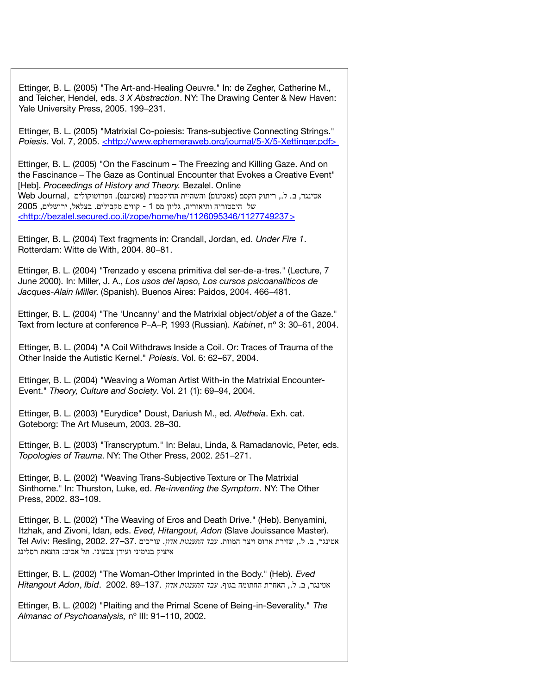Ettinger, B. L. (2005) "The Art-and-Healing Oeuvre." In: de Zegher, Catherine M., and Teicher, Hendel, eds. *3 X Abstraction*. NY: The Drawing Center & New Haven: Yale University Press, 2005. 199–231.

Ettinger, B. L. (2005) "Matrixial Co-poiesis: Trans-subjective Connecting Strings." *Poiesis*. Vol. 7, 2005. <http://www.ephemeraweb.org/journal/5-X/5-Xettinger.pdf>

Ettinger, B. L. (2005) "On the Fascinum – The Freezing and Killing Gaze. And on the Fascinance – The Gaze as Continual Encounter that Evokes a Creative Event" [Heb]. *Proceedings of History and Theory.* Bezalel. Online , אטינגר, ב. ל., ריתוק הקסם (פאסינום) והשהיית ההיקסמות (פאסיננס). הפרוטוקולים Web Journal, של היסטוריה ותיאוריה, גליון מס 1 - קווים מקבילים. בצלאל, ירושלים, 2005 [< http://bezalel.secured.co.il/zope/home/he/1126095346/1127749237 >](http://bezalel.secured.co.il/zope/home/he/1126095346/1127749237)

Ettinger, B. L. (2004) Text fragments in: Crandall, Jordan, ed. *Under Fire 1*. Rotterdam: Witte de With, 2004. 80–81.

Ettinger, B. L. (2004) "Trenzado y escena primitiva del ser-de-a-tres." (Lecture, 7 June 2000). In: Miller, J. A., *Los usos del lapso, Los cursos psicoanaliticos de Jacques-Alain Miller*. (Spanish). Buenos Aires: Paidos, 2004. 466–481.

Ettinger, B. L. (2004) "The 'Uncanny' and the Matrixial object/*objet a* of the Gaze." Text from lecture at conference P–A–P, 1993 (Russian). *Kabinet*, nº 3: 30–61, 2004.

Ettinger, B. L. (2004) "A Coil Withdraws Inside a Coil. Or: Traces of Trauma of the Other Inside the Autistic Kernel." *Poiesis*. Vol. 6: 62–67, 2004.

Ettinger, B. L. (2004) "Weaving a Woman Artist With-in the Matrixial Encounter-Event." *Theory, Culture and Society*. Vol. 21 (1): 69–94, 2004.

Ettinger, B. L. (2003) "Eurydice" Doust, Dariush M., ed. *Aletheia*. Exh. cat. Goteborg: The Art Museum, 2003. 28–30.

Ettinger, B. L. (2003) "Transcryptum." In: Belau, Linda, & Ramadanovic, Peter, eds. *Topologies of Trauma*. NY: The Other Press, 2002. 251–271.

Ettinger, B. L. (2002) "Weaving Trans-Subjective Texture or The Matrixial Sinthome." In: Thurston, Luke, ed. *Re-inventing the Symptom*. NY: The Other Press, 2002. 83–109.

Ettinger, B. L. (2002) "The Weaving of Eros and Death Drive." (Heb). Benyamini, Itzhak, and Zivoni, Idan, eds. *Eved, Hitangout, Adon* (Slave Jouissance Master). אטינגר. ב. ל.. שזירת ארוס ויצר המוות. *עבד התענגות אדוו*. עורכים .27–37 . **Tel Aviv: Resling. 2002. .** . : איציק בנימיני ועידן צבעוני תל אביב הוצאת רסלינג

Ettinger, B. L. (2002) "The Woman-Other Imprinted in the Body." (Heb). *Eved* אטינגר ב ל האחרת החתומה בגוף , . ,. . *עבד התענגות אדון* 137.–89 2002. .*Ibid* ,*Adon Hitangout*

Ettinger, B. L. (2002) "Plaiting and the Primal Scene of Being-in-Severality." *The Almanac of Psychoanalysis,* nº III: 91–110, 2002.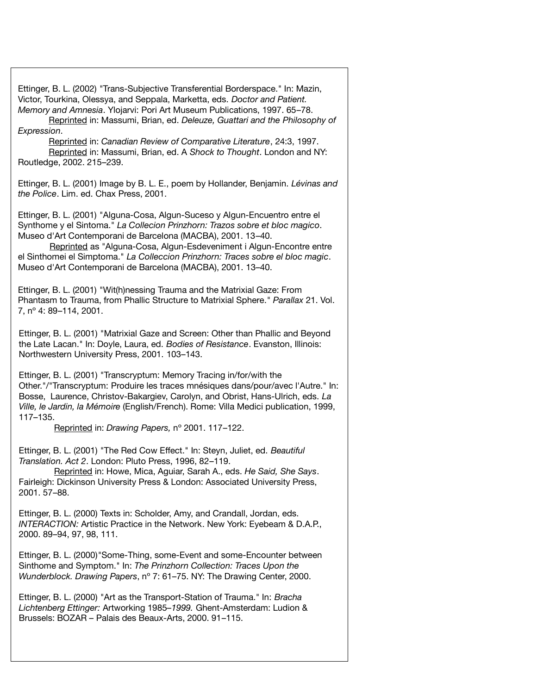Ettinger, B. L. (2002) "Trans-Subjective Transferential Borderspace." In: Mazin, Victor, Tourkina, Olessya, and Seppala, Marketta, eds. *Doctor and Patient. Memory and Amnesia*. Ylojarvi: Pori Art Museum Publications, 1997. 65–78.

Reprinted in: Massumi, Brian, ed. *Deleuze, Guattari and the Philosophy of Expression*.

Reprinted in: *Canadian Review of Comparative Literature*, 24:3, 1997. Reprinted in: Massumi, Brian, ed. A *Shock to Thought*. London and NY: Routledge, 2002. 215–239.

Ettinger, B. L. (2001) Image by B. L. E., poem by Hollander, Benjamin. *Lévinas and the Police*. Lim. ed. Chax Press, 2001.

Ettinger, B. L. (2001) "Alguna-Cosa, Algun-Suceso y Algun-Encuentro entre el Synthome y el Sintoma." *La Collecion Prinzhorn: Trazos sobre et bloc magico*. Museo d'Art Contemporani de Barcelona (MACBA), 2001. 13–40.

Reprinted as "Alguna-Cosa, Algun-Esdeveniment i Algun-Encontre entre el Sinthomei el Simptoma." *La Colleccion Prinzhorn: Traces sobre el bloc magic*. Museo d'Art Contemporani de Barcelona (MACBA), 2001. 13–40.

Ettinger, B. L. (2001) "Wit(h)nessing Trauma and the Matrixial Gaze: From Phantasm to Trauma, from Phallic Structure to Matrixial Sphere." *Parallax* 21. Vol. 7, nº 4: 89–114, 2001.

Ettinger, B. L. (2001) "Matrixial Gaze and Screen: Other than Phallic and Beyond the Late Lacan." In: Doyle, Laura, ed. *Bodies of Resistance*. Evanston, Illinois: Northwestern University Press, 2001. 103–143.

Ettinger, B. L. (2001) "Transcryptum: Memory Tracing in/for/with the Other."/"Transcryptum: Produire les traces mnésiques dans/pour/avec l'Autre." In: Bosse, Laurence, Christov-Bakargiev, Carolyn, and Obrist, Hans-Ulrich, eds. *La Ville, le Jardin, la Mémoire* (English/French). Rome: Villa Medici publication, 1999, 117–135.

Reprinted in: *Drawing Papers,* nº 2001. 117–122.

Ettinger, B. L. (2001) "The Red Cow Effect." In: Steyn, Juliet, ed. *Beautiful Translation. Act 2*. London: Pluto Press, 1996, 82–119.

Reprinted in: Howe, Mica, Aguiar, Sarah A., eds. *He Said, She Says*. Fairleigh: Dickinson University Press & London: Associated University Press, 2001. 57–88.

Ettinger, B. L. (2000) Texts in: Scholder, Amy, and Crandall, Jordan, eds. *INTERACTION:* Artistic Practice in the Network. New York: Eyebeam & D.A.P., 2000. 89–94, 97, 98, 111.

Ettinger, B. L. (2000)"Some-Thing, some-Event and some-Encounter between Sinthome and Symptom." In: *The Prinzhorn Collection: Traces Upon the Wunderblock. Drawing Papers*, nº 7: 61–75. NY: The Drawing Center, 2000.

Ettinger, B. L. (2000) "Art as the Transport-Station of Trauma." In: *Bracha Lichtenberg Ettinger:* Artworking 1985*–1999.* Ghent-Amsterdam: Ludion & Brussels: BOZAR – Palais des Beaux-Arts, 2000. 91–115.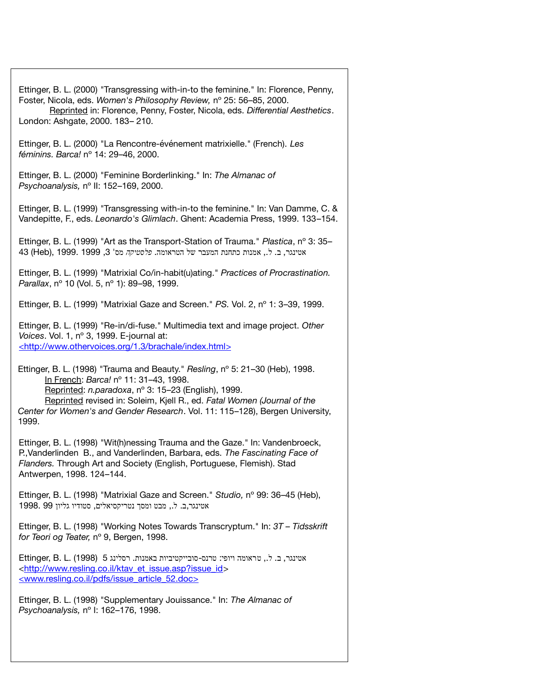| Ettinger, B. L. (2000) "Transgressing with-in-to the feminine." In: Florence, Penny,<br>Foster, Nicola, eds. Women's Philosophy Review, nº 25: 56-85, 2000.<br>Reprinted in: Florence, Penny, Foster, Nicola, eds. Differential Aesthetics.<br>London: Ashgate, 2000. 183-210.                                                                     |
|----------------------------------------------------------------------------------------------------------------------------------------------------------------------------------------------------------------------------------------------------------------------------------------------------------------------------------------------------|
| Ettinger, B. L. (2000) "La Rencontre-événement matrixielle." (French). Les<br>féminins. Barca! nº 14: 29-46, 2000.                                                                                                                                                                                                                                 |
| Ettinger, B. L. (2000) "Feminine Borderlinking." In: The Almanac of<br>Psychoanalysis, nº II: 152-169, 2000.                                                                                                                                                                                                                                       |
| Ettinger, B. L. (1999) "Transgressing with-in-to the feminine." In: Van Damme, C. &<br>Vandepitte, F., eds. Leonardo's Glimlach. Ghent: Academia Press, 1999. 133-154.                                                                                                                                                                             |
| Ettinger, B. L. (1999) "Art as the Transport-Station of Trauma." Plastica, nº 3: 35-<br>43 (Heb), 1999. 1999, 3 מות כתחנת המעבר של הטראומה. פלסטיקה מס' 3, 1999. 1999                                                                                                                                                                              |
| Ettinger, B. L. (1999) "Matrixial Co/in-habit(u)ating." Practices of Procrastination.<br>Parallax, nº 10 (Vol. 5, nº 1): 89-98, 1999.                                                                                                                                                                                                              |
| Ettinger, B. L. (1999) "Matrixial Gaze and Screen." PS. Vol. 2, nº 1: 3-39, 1999.                                                                                                                                                                                                                                                                  |
| Ettinger, B. L. (1999) "Re-in/di-fuse." Multimedia text and image project. Other<br>Voices. Vol. 1, nº 3, 1999. E-journal at:<br><http: 1.3="" brachale="" index.html="" www.othervoices.org=""></http:>                                                                                                                                           |
| Ettinger, B. L. (1998) "Trauma and Beauty." Resling, nº 5: 21-30 (Heb), 1998.<br>In French: Barca! nº 11: 31-43, 1998.<br>Reprinted: n.paradoxa, nº 3: 15-23 (English), 1999.<br>Reprinted revised in: Soleim, Kjell R., ed. Fatal Women (Journal of the<br>Center for Women's and Gender Research. Vol. 11: 115-128), Bergen University,<br>1999. |
| Ettinger, B. L. (1998) "Wit(h)nessing Trauma and the Gaze." In: Vandenbroeck,<br>P., Vanderlinden B., and Vanderlinden, Barbara, eds. The Fascinating Face of<br>Flanders. Through Art and Society (English, Portuguese, Flemish). Stad<br>Antwerpen, 1998. 124-144.                                                                               |
| Ettinger, B. L. (1998) "Matrixial Gaze and Screen." Studio, nº 99: 36-45 (Heb),<br>אטינגר,ב. ל., מבט ומסך נטריקסיאלים, סטודיו גליון 1998. 99                                                                                                                                                                                                       |
| Ettinger, B. L. (1998) "Working Notes Towards Transcryptum." In: 3T - Tidsskrift<br>for Teori og Teater, nº 9, Bergen, 1998.                                                                                                                                                                                                                       |
| אטינגר, ב. ל., טראומה ויופי: טרנס-סובייקטיביות באמנות. רסלינג 5 (1998) .Ettinger, B. L.<br><http: et="" id="" issue.asp?issue="" ktav="" www.resling.co.il=""><br/><www.resling.co.il 52.doc="" article="" issue="" pdfs=""></www.resling.co.il></http:>                                                                                           |
| Ettinger, B. L. (1998) "Supplementary Jouissance." In: The Almanac of<br>Psychoanalysis, nº l: 162-176, 1998.                                                                                                                                                                                                                                      |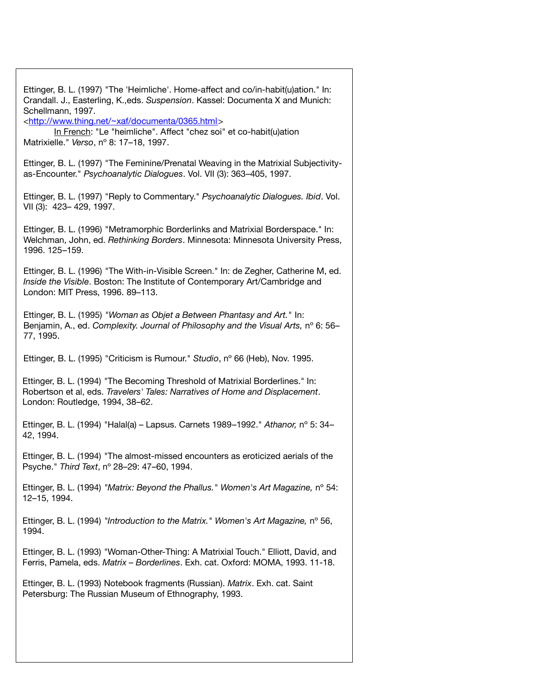| Ettinger, B. L. (1997) "The 'Heimliche'. Home-affect and co/in-habit(u)ation." In:<br>Crandall. J., Easterling, K., eds. Suspension. Kassel: Documenta X and Munich:<br>Schellmann, 1997.<br><http: 0365.html="" documenta="" www.thing.net="" ~xaf=""><br/>In French: "Le "heimliche". Affect "chez soi" et co-habit(u)ation<br/>Matrixielle." Verso, nº 8: 17-18, 1997.</http:> |
|-----------------------------------------------------------------------------------------------------------------------------------------------------------------------------------------------------------------------------------------------------------------------------------------------------------------------------------------------------------------------------------|
| Ettinger, B. L. (1997) "The Feminine/Prenatal Weaving in the Matrixial Subjectivity-<br>as-Encounter." Psychoanalytic Dialogues. Vol. VII (3): 363-405, 1997.                                                                                                                                                                                                                     |
| Ettinger, B. L. (1997) "Reply to Commentary." Psychoanalytic Dialogues. Ibid. Vol.<br>VII (3): 423-429, 1997.                                                                                                                                                                                                                                                                     |
| Ettinger, B. L. (1996) "Metramorphic Borderlinks and Matrixial Borderspace." In:<br>Welchman, John, ed. Rethinking Borders. Minnesota: Minnesota University Press,<br>1996. 125-159.                                                                                                                                                                                              |
| Ettinger, B. L. (1996) "The With-in-Visible Screen." In: de Zegher, Catherine M, ed.<br>Inside the Visible. Boston: The Institute of Contemporary Art/Cambridge and<br>London: MIT Press, 1996. 89-113.                                                                                                                                                                           |
| Ettinger, B. L. (1995) "Woman as Objet a Between Phantasy and Art." In:<br>Benjamin, A., ed. Complexity. Journal of Philosophy and the Visual Arts, nº 6: 56-<br>77, 1995.                                                                                                                                                                                                        |
| Ettinger, B. L. (1995) "Criticism is Rumour." Studio, nº 66 (Heb), Nov. 1995.                                                                                                                                                                                                                                                                                                     |
| Ettinger, B. L. (1994) "The Becoming Threshold of Matrixial Borderlines." In:<br>Robertson et al, eds. Travelers' Tales: Narratives of Home and Displacement.<br>London: Routledge, 1994, 38-62.                                                                                                                                                                                  |
| Ettinger, B. L. (1994) "Halal(a) - Lapsus. Carnets 1989-1992." Athanor, nº 5: 34-<br>42, 1994.                                                                                                                                                                                                                                                                                    |
| Ettinger, B. L. (1994) "The almost-missed encounters as eroticized aerials of the<br>Psyche." Third Text, nº 28-29: 47-60, 1994.                                                                                                                                                                                                                                                  |
| Ettinger, B. L. (1994) "Matrix: Beyond the Phallus." Women's Art Magazine, nº 54:<br>12-15, 1994.                                                                                                                                                                                                                                                                                 |
| Ettinger, B. L. (1994) "Introduction to the Matrix." Women's Art Magazine, n° 56,<br>1994.                                                                                                                                                                                                                                                                                        |
| Ettinger, B. L. (1993) "Woman-Other-Thing: A Matrixial Touch." Elliott, David, and<br>Ferris, Pamela, eds. Matrix - Borderlines. Exh. cat. Oxford: MOMA, 1993. 11-18.                                                                                                                                                                                                             |
| Ettinger, B. L. (1993) Notebook fragments (Russian). Matrix. Exh. cat. Saint<br>Petersburg: The Russian Museum of Ethnography, 1993.                                                                                                                                                                                                                                              |
|                                                                                                                                                                                                                                                                                                                                                                                   |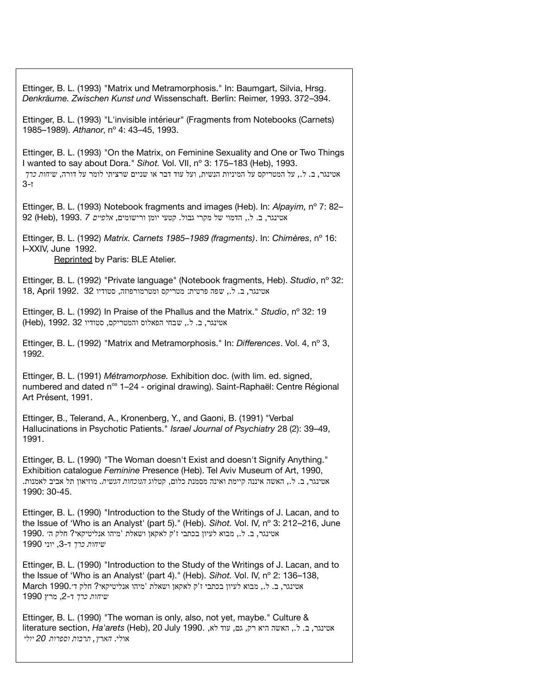Ettinger, B. L. (1993) "Matrix und Metramorphosis." In: Baumgart, Silvia, Hrsg. *Denkräume. Zwischen Kunst und* Wissenschaft. Berlin: Reimer, 1993. 372–394. Ettinger, B. L. (1993) "L'invisible intérieur" (Fragments from Notebooks (Carnets) 1985–1989). *Athanor*, nº 4: 43–45, 1993. Ettinger, B. L. (1993) "On the Matrix, on Feminine Sexuality and One or Two Things I wanted to say about Dora." *Sihot.* Vol. VII, nº 3: 175–183 (Heb), 1993. אטינגר, ב. ל., על המטריקס על המיניות הנשית, ועל עוד דבר או שניים שרציתי לומר על דורה, שיח*ות כרך*  $3-1$ Ettinger, B. L. (1993) Notebook fragments and images (Heb). In: *Alpayim,* nº 7: 82– אטינגר, ב. ל., הדמוי של מקרי גבול. קטעי יומן ורישומים, אלפיים 7 1993. (Heb) Ettinger, B. L. (1992) *Matrix. Carnets 1985–1989 (fragments)*. In: *Chimères*, nº 16: I–XXIV, June 1992. Reprinted by Paris: BLE Atelier. Ettinger, B. L. (1992) "Private language" (Notebook fragments, Heb). *Studio*, nº 32: , אטינגר, ב. ל., שפה פרטית: מטריקס ומטרמורפוזה, סטודיו 18, April 1992. 32 Ettinger, B. L. (1992) In Praise of the Phallus and the Matrix." *Studio*, nº 32: 19 (Heb), אטינגר, ב. ל., שבחי הפאלוס והמטריקס, סטודיו 32 ו Ettinger, B. L. (1992) "Matrix and Metramorphosis." In: *Differences*. Vol. 4, nº 3, 1992. Ettinger, B. L. (1991) *Métramorphose.* Exhibition doc. (with lim. ed. signed, numbered and dated n<sup>os</sup> 1–24 - original drawing). Saint-Raphaël: Centre Régional Art Présent, 1991. Ettinger, B., Telerand, A., Kronenberg, Y., and Gaoni, B. (1991) "Verbal Hallucinations in Psychotic Patients." *Israel Journal of Psychiatry* 28 (2): 39–49, 1991. Ettinger, B. L. (1990) "The Woman doesn't Exist and doesn't Signify Anything." Exhibition catalogue *Feminine* Presence (Heb). Tel Aviv Museum of Art, 1990, אטינגר ב ל האשה איננה קיימת ואינה מסמנת כלום קטלוג , . ,. , *הנוכחות הנשית .* מוזיאון תל אביב לאמנות. 1990: 30-45. Ettinger, B. L. (1990) "Introduction to the Study of the Writings of J. Lacan, and to the Issue of 'Who is an Analyst' (part 5)." (Heb). *Sihot.* Vol. IV, nº 3: 212–216, June 1990. אטינגר, ב. ל., מבוא לעיון בכתבי ז'ק לאקאן ושאלת 'מיהו אנליטיקאי? חלק ה׳ *שיחות כרך* ד 3- יוני , 1990 Ettinger, B. L. (1990) "Introduction to the Study of the Writings of J. Lacan, and to the Issue of 'Who is an Analyst' (part 4)." (Heb). *Sihot.* Vol. IV, nº 2: 136–138, March 1990. אטינגר, ב. ל., מבוא לעיון בכתבי ז'ק לאקאן ושאלת 'מיהו אנליטיקאי? חלק ד׳ *שיחות כרך* ד 2- מרץ , 1990 Ettinger, B. L. (1990) "The woman is only, also, not yet, maybe." Culture &

אטינגר ב ל האשה היא רק גם עוד לא , . ,. , , , 1990. July 20 ,)Heb(*arets'Ha* ,section literature אולי. *הארץ תרבות וספרות , 20 יולי*